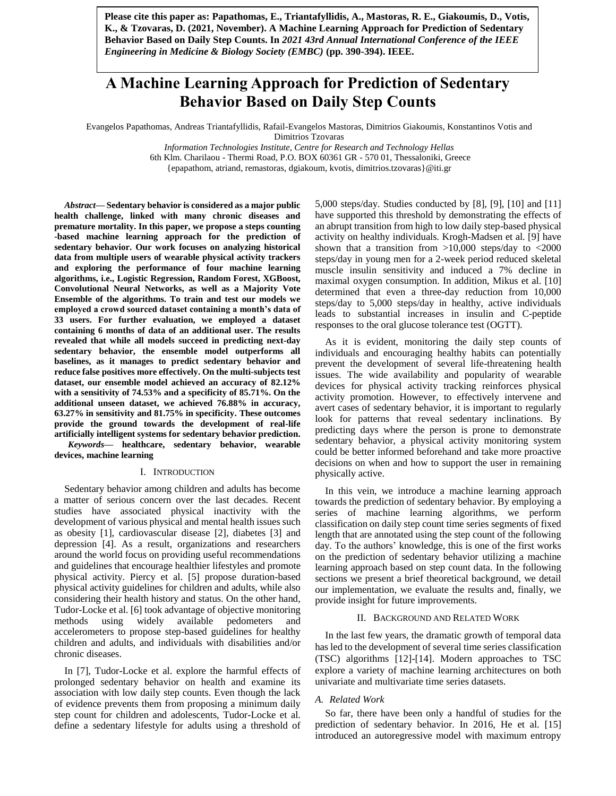**Please cite this paper as: Papathomas, E., Triantafyllidis, A., Mastoras, R. E., Giakoumis, D., Votis, K., & Tzovaras, D. (2021, November). A Machine Learning Approach for Prediction of Sedentary Behavior Based on Daily Step Counts. In** *2021 43rd Annual International Conference of the IEEE Engineering in Medicine & Biology Society (EMBC)* **(pp. 390-394). IEEE.**

# **A Machine Learning Approach for Prediction of Sedentary Behavior Based on Daily Step Counts**

Evangelos Papathomas, Andreas Triantafyllidis, Rafail-Evangelos Mastoras, Dimitrios Giakoumis, Konstantinos Votis and Dimitrios Tzovaras

> *Information Technologies Institute, Centre for Research and Technology Hellas* 6th Klm. Charilaou - Thermi Road, P.O. BOX 60361 GR - 570 01, Thessaloniki, Greece {epapathom, atriand, remastoras, dgiakoum, kvotis, dimitrios.tzovaras}@iti.gr

*Abstract***— Sedentary behavior is considered as a major public health challenge, linked with many chronic diseases and premature mortality. In this paper, we propose a steps counting -based machine learning approach for the prediction of sedentary behavior. Our work focuses on analyzing historical data from multiple users of wearable physical activity trackers and exploring the performance of four machine learning algorithms, i.e., Logistic Regression, Random Forest, XGBoost, Convolutional Neural Networks, as well as a Majority Vote Ensemble of the algorithms. To train and test our models we employed a crowd sourced dataset containing a month's data of 33 users. For further evaluation, we employed a dataset containing 6 months of data of an additional user. The results revealed that while all models succeed in predicting next-day sedentary behavior, the ensemble model outperforms all baselines, as it manages to predict sedentary behavior and reduce false positives more effectively. On the multi-subjects test dataset, our ensemble model achieved an accuracy of 82.12% with a sensitivity of 74.53% and a specificity of 85.71%. On the additional unseen dataset, we achieved 76.88% in accuracy, 63.27% in sensitivity and 81.75% in specificity. These outcomes provide the ground towards the development of real-life artificially intelligent systems for sedentary behavior prediction.**

*Keywords—* **healthcare, sedentary behavior, wearable devices, machine learning**

#### I. INTRODUCTION

Sedentary behavior among children and adults has become a matter of serious concern over the last decades. Recent studies have associated physical inactivity with the development of various physical and mental health issues such as obesity [1], cardiovascular disease [2], diabetes [3] and depression [4]. As a result, organizations and researchers around the world focus on providing useful recommendations and guidelines that encourage healthier lifestyles and promote physical activity. Piercy et al. [5] propose duration-based physical activity guidelines for children and adults, while also considering their health history and status. On the other hand, Tudor-Locke et al. [6] took advantage of objective monitoring methods using widely available pedometers and accelerometers to propose step-based guidelines for healthy children and adults, and individuals with disabilities and/or chronic diseases.

In [7], Tudor-Locke et al. explore the harmful effects of prolonged sedentary behavior on health and examine its association with low daily step counts. Even though the lack of evidence prevents them from proposing a minimum daily step count for children and adolescents, Tudor-Locke et al. define a sedentary lifestyle for adults using a threshold of 5,000 steps/day. Studies conducted by [8], [9], [10] and [11] have supported this threshold by demonstrating the effects of an abrupt transition from high to low daily step-based physical activity on healthy individuals. Krogh-Madsen et al. [9] have shown that a transition from  $>10,000$  steps/day to  $<2000$ steps/day in young men for a 2-week period reduced skeletal muscle insulin sensitivity and induced a 7% decline in maximal oxygen consumption. In addition, Mikus et al. [10] determined that even a three-day reduction from 10,000 steps/day to 5,000 steps/day in healthy, active individuals leads to substantial increases in insulin and C-peptide responses to the oral glucose tolerance test (OGTT).

As it is evident, monitoring the daily step counts of individuals and encouraging healthy habits can potentially prevent the development of several life-threatening health issues. The wide availability and popularity of wearable devices for physical activity tracking reinforces physical activity promotion. However, to effectively intervene and avert cases of sedentary behavior, it is important to regularly look for patterns that reveal sedentary inclinations. By predicting days where the person is prone to demonstrate sedentary behavior, a physical activity monitoring system could be better informed beforehand and take more proactive decisions on when and how to support the user in remaining physically active.

In this vein, we introduce a machine learning approach towards the prediction of sedentary behavior. By employing a series of machine learning algorithms, we perform classification on daily step count time series segments of fixed length that are annotated using the step count of the following day. To the authors' knowledge, this is one of the first works on the prediction of sedentary behavior utilizing a machine learning approach based on step count data. In the following sections we present a brief theoretical background, we detail our implementation, we evaluate the results and, finally, we provide insight for future improvements.

## II. BACKGROUND AND RELATED WORK

In the last few years, the dramatic growth of temporal data has led to the development of several time series classification (TSC) algorithms [12]-[14]. Modern approaches to TSC explore a variety of machine learning architectures on both univariate and multivariate time series datasets.

#### *A. Related Work*

So far, there have been only a handful of studies for the prediction of sedentary behavior. In 2016, He et al. [15] introduced an autoregressive model with maximum entropy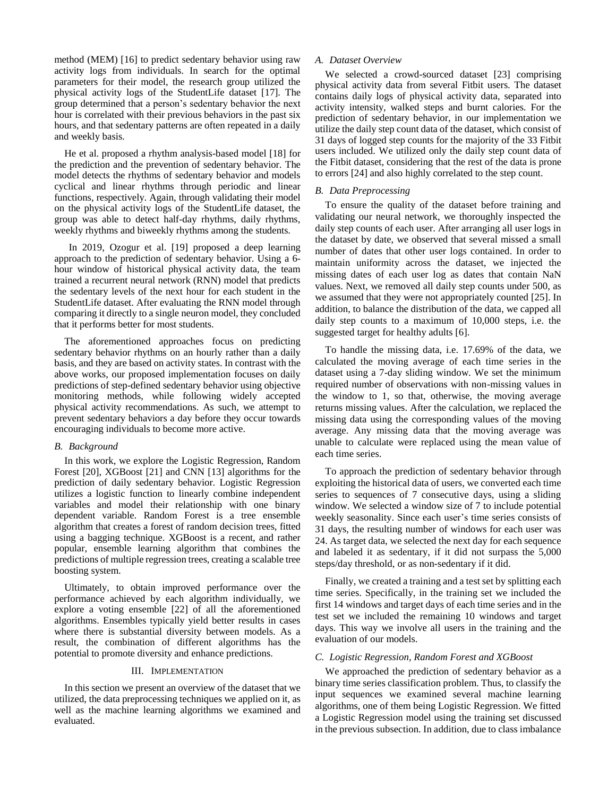method (MEM) [16] to predict sedentary behavior using raw activity logs from individuals. In search for the optimal parameters for their model, the research group utilized the physical activity logs of the StudentLife dataset [17]. The group determined that a person's sedentary behavior the next hour is correlated with their previous behaviors in the past six hours, and that sedentary patterns are often repeated in a daily and weekly basis.

He et al. proposed a rhythm analysis-based model [18] for the prediction and the prevention of sedentary behavior. The model detects the rhythms of sedentary behavior and models cyclical and linear rhythms through periodic and linear functions, respectively. Again, through validating their model on the physical activity logs of the StudentLife dataset, the group was able to detect half-day rhythms, daily rhythms, weekly rhythms and biweekly rhythms among the students.

In 2019, Ozogur et al. [19] proposed a deep learning approach to the prediction of sedentary behavior. Using a 6 hour window of historical physical activity data, the team trained a recurrent neural network (RNN) model that predicts the sedentary levels of the next hour for each student in the StudentLife dataset. After evaluating the RNN model through comparing it directly to a single neuron model, they concluded that it performs better for most students.

The aforementioned approaches focus on predicting sedentary behavior rhythms on an hourly rather than a daily basis, and they are based on activity states. In contrast with the above works, our proposed implementation focuses on daily predictions of step-defined sedentary behavior using objective monitoring methods, while following widely accepted physical activity recommendations. As such, we attempt to prevent sedentary behaviors a day before they occur towards encouraging individuals to become more active.

## *B. Background*

In this work, we explore the Logistic Regression, Random Forest [20], XGBoost [21] and CNN [13] algorithms for the prediction of daily sedentary behavior. Logistic Regression utilizes a logistic function to linearly combine independent variables and model their relationship with one binary dependent variable. Random Forest is a tree ensemble algorithm that creates a forest of random decision trees, fitted using a bagging technique. XGBoost is a recent, and rather popular, ensemble learning algorithm that combines the predictions of multiple regression trees, creating a scalable tree boosting system.

Ultimately, to obtain improved performance over the performance achieved by each algorithm individually, we explore a voting ensemble [22] of all the aforementioned algorithms. Ensembles typically yield better results in cases where there is substantial diversity between models. As a result, the combination of different algorithms has the potential to promote diversity and enhance predictions.

#### III. IMPLEMENTATION

In this section we present an overview of the dataset that we utilized, the data preprocessing techniques we applied on it, as well as the machine learning algorithms we examined and evaluated.

## *A. Dataset Overview*

We selected a crowd-sourced dataset [23] comprising physical activity data from several Fitbit users. The dataset contains daily logs of physical activity data, separated into activity intensity, walked steps and burnt calories. For the prediction of sedentary behavior, in our implementation we utilize the daily step count data of the dataset, which consist of 31 days of logged step counts for the majority of the 33 Fitbit users included. We utilized only the daily step count data of the Fitbit dataset, considering that the rest of the data is prone to errors [24] and also highly correlated to the step count.

## *B. Data Preprocessing*

To ensure the quality of the dataset before training and validating our neural network, we thoroughly inspected the daily step counts of each user. After arranging all user logs in the dataset by date, we observed that several missed a small number of dates that other user logs contained. In order to maintain uniformity across the dataset, we injected the missing dates of each user log as dates that contain NaN values. Next, we removed all daily step counts under 500, as we assumed that they were not appropriately counted [25]. In addition, to balance the distribution of the data, we capped all daily step counts to a maximum of 10,000 steps, i.e. the suggested target for healthy adults [6].

To handle the missing data, i.e. 17.69% of the data, we calculated the moving average of each time series in the dataset using a 7-day sliding window. We set the minimum required number of observations with non-missing values in the window to 1, so that, otherwise, the moving average returns missing values. After the calculation, we replaced the missing data using the corresponding values of the moving average. Any missing data that the moving average was unable to calculate were replaced using the mean value of each time series.

To approach the prediction of sedentary behavior through exploiting the historical data of users, we converted each time series to sequences of 7 consecutive days, using a sliding window. We selected a window size of 7 to include potential weekly seasonality. Since each user's time series consists of 31 days, the resulting number of windows for each user was 24. As target data, we selected the next day for each sequence and labeled it as sedentary, if it did not surpass the 5,000 steps/day threshold, or as non-sedentary if it did.

Finally, we created a training and a test set by splitting each time series. Specifically, in the training set we included the first 14 windows and target days of each time series and in the test set we included the remaining 10 windows and target days. This way we involve all users in the training and the evaluation of our models.

## *C. Logistic Regression, Random Forest and XGBoost*

We approached the prediction of sedentary behavior as a binary time series classification problem. Thus, to classify the input sequences we examined several machine learning algorithms, one of them being Logistic Regression. We fitted a Logistic Regression model using the training set discussed in the previous subsection. In addition, due to class imbalance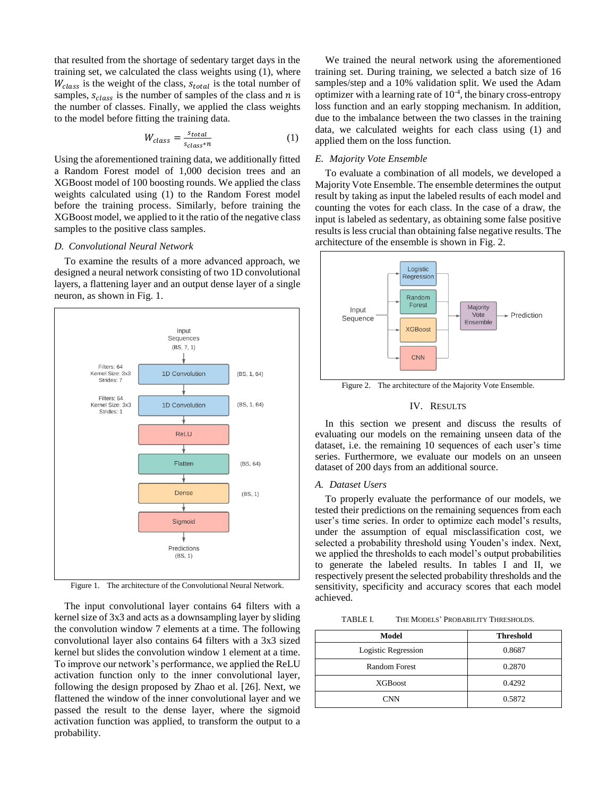that resulted from the shortage of sedentary target days in the training set, we calculated the class weights using (1), where  $W_{class}$  is the weight of the class,  $s_{total}$  is the total number of samples,  $s_{class}$  is the number of samples of the class and *n* is the number of classes. Finally, we applied the class weights to the model before fitting the training data.

$$
W_{class} = \frac{s_{total}}{s_{class} * n} \tag{1}
$$

Using the aforementioned training data, we additionally fitted a Random Forest model of 1,000 decision trees and an XGBoost model of 100 boosting rounds. We applied the class weights calculated using (1) to the Random Forest model before the training process. Similarly, before training the XGBoost model, we applied to it the ratio of the negative class samples to the positive class samples.

#### *D. Convolutional Neural Network*

To examine the results of a more advanced approach, we designed a neural network consisting of two 1D convolutional layers, a flattening layer and an output dense layer of a single neuron, as shown in Fig. 1.



Figure 1. The architecture of the Convolutional Neural Network.

The input convolutional layer contains 64 filters with a kernel size of 3x3 and acts as a downsampling layer by sliding the convolution window 7 elements at a time. The following convolutional layer also contains 64 filters with a 3x3 sized kernel but slides the convolution window 1 element at a time. To improve our network's performance, we applied the ReLU activation function only to the inner convolutional layer, following the design proposed by Zhao et al. [26]. Next, we flattened the window of the inner convolutional layer and we passed the result to the dense layer, where the sigmoid activation function was applied, to transform the output to a probability.

We trained the neural network using the aforementioned training set. During training, we selected a batch size of 16 samples/step and a 10% validation split. We used the Adam optimizer with a learning rate of 10-4 , the binary cross-entropy loss function and an early stopping mechanism. In addition, due to the imbalance between the two classes in the training data, we calculated weights for each class using (1) and applied them on the loss function.

## *E. Majority Vote Ensemble*

To evaluate a combination of all models, we developed a Majority Vote Ensemble. The ensemble determines the output result by taking as input the labeled results of each model and counting the votes for each class. In the case of a draw, the input is labeled as sedentary, as obtaining some false positive results is less crucial than obtaining false negative results. The architecture of the ensemble is shown in Fig. 2.



Figure 2. The architecture of the Majority Vote Ensemble.

## IV. RESULTS

In this section we present and discuss the results of evaluating our models on the remaining unseen data of the dataset, i.e. the remaining 10 sequences of each user's time series. Furthermore, we evaluate our models on an unseen dataset of 200 days from an additional source.

#### *A. Dataset Users*

To properly evaluate the performance of our models, we tested their predictions on the remaining sequences from each user's time series. In order to optimize each model's results, under the assumption of equal misclassification cost, we selected a probability threshold using Youden's index. Next, we applied the thresholds to each model's output probabilities to generate the labeled results. In tables I and II, we respectively present the selected probability thresholds and the sensitivity, specificity and accuracy scores that each model achieved.

TABLE I. THE MODELS' PROBABILITY THRESHOLDS.

| Model               | <b>Threshold</b> |
|---------------------|------------------|
| Logistic Regression | 0.8687           |
| Random Forest       | 0.2870           |
| <b>XGB</b> oost     | 0.4292           |
| <b>CNN</b>          | 0.5872           |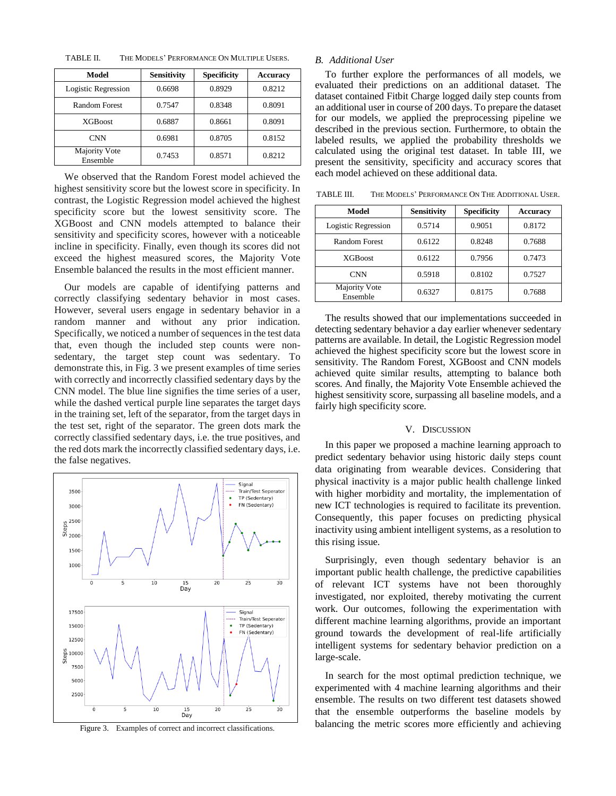TABLE II. THE MODELS' PERFORMANCE ON MULTIPLE USERS.

| Model                     | <b>Sensitivity</b> | <b>Specificity</b> | <b>Accuracy</b> |
|---------------------------|--------------------|--------------------|-----------------|
| Logistic Regression       | 0.6698             | 0.8929             | 0.8212          |
| <b>Random Forest</b>      | 0.7547             | 0.8348             | 0.8091          |
| <b>XGBoost</b>            | 0.6887             | 0.8661             | 0.8091          |
| <b>CNN</b>                | 0.6981             | 0.8705             | 0.8152          |
| Majority Vote<br>Ensemble | 0.7453             | 0.8571             | 0.8212          |

We observed that the Random Forest model achieved the highest sensitivity score but the lowest score in specificity. In contrast, the Logistic Regression model achieved the highest specificity score but the lowest sensitivity score. The XGBoost and CNN models attempted to balance their sensitivity and specificity scores, however with a noticeable incline in specificity. Finally, even though its scores did not exceed the highest measured scores, the Majority Vote Ensemble balanced the results in the most efficient manner.

Our models are capable of identifying patterns and correctly classifying sedentary behavior in most cases. However, several users engage in sedentary behavior in a random manner and without any prior indication. Specifically, we noticed a number of sequences in the test data that, even though the included step counts were nonsedentary, the target step count was sedentary. To demonstrate this, in Fig. 3 we present examples of time series with correctly and incorrectly classified sedentary days by the CNN model. The blue line signifies the time series of a user, while the dashed vertical purple line separates the target days in the training set, left of the separator, from the target days in the test set, right of the separator. The green dots mark the correctly classified sedentary days, i.e. the true positives, and the red dots mark the incorrectly classified sedentary days, i.e. the false negatives.



Figure 3. Examples of correct and incorrect classifications.

## *B. Additional User*

To further explore the performances of all models, we evaluated their predictions on an additional dataset. The dataset contained Fitbit Charge logged daily step counts from an additional user in course of 200 days. To prepare the dataset for our models, we applied the preprocessing pipeline we described in the previous section. Furthermore, to obtain the labeled results, we applied the probability thresholds we calculated using the original test dataset. In table III, we present the sensitivity, specificity and accuracy scores that each model achieved on these additional data.

TABLE III. THE MODELS' PERFORMANCE ON THE ADDITIONAL USER.

| Model                     | <b>Sensitivity</b> | <b>Specificity</b> | <b>Accuracy</b> |
|---------------------------|--------------------|--------------------|-----------------|
| Logistic Regression       | 0.5714             | 0.9051             | 0.8172          |
| Random Forest             | 0.6122             | 0.8248             | 0.7688          |
| <b>XGB</b> oost           | 0.6122             | 0.7956             | 0.7473          |
| <b>CNN</b>                | 0.5918             | 0.8102             | 0.7527          |
| Majority Vote<br>Ensemble | 0.6327             | 0.8175             | 0.7688          |

The results showed that our implementations succeeded in detecting sedentary behavior a day earlier whenever sedentary patterns are available. In detail, the Logistic Regression model achieved the highest specificity score but the lowest score in sensitivity. The Random Forest, XGBoost and CNN models achieved quite similar results, attempting to balance both scores. And finally, the Majority Vote Ensemble achieved the highest sensitivity score, surpassing all baseline models, and a fairly high specificity score.

### V. DISCUSSION

In this paper we proposed a machine learning approach to predict sedentary behavior using historic daily steps count data originating from wearable devices. Considering that physical inactivity is a major public health challenge linked with higher morbidity and mortality, the implementation of new ICT technologies is required to facilitate its prevention. Consequently, this paper focuses on predicting physical inactivity using ambient intelligent systems, as a resolution to this rising issue.

Surprisingly, even though sedentary behavior is an important public health challenge, the predictive capabilities of relevant ICT systems have not been thoroughly investigated, nor exploited, thereby motivating the current work. Our outcomes, following the experimentation with different machine learning algorithms, provide an important ground towards the development of real-life artificially intelligent systems for sedentary behavior prediction on a large-scale.

In search for the most optimal prediction technique, we experimented with 4 machine learning algorithms and their ensemble. The results on two different test datasets showed that the ensemble outperforms the baseline models by balancing the metric scores more efficiently and achieving